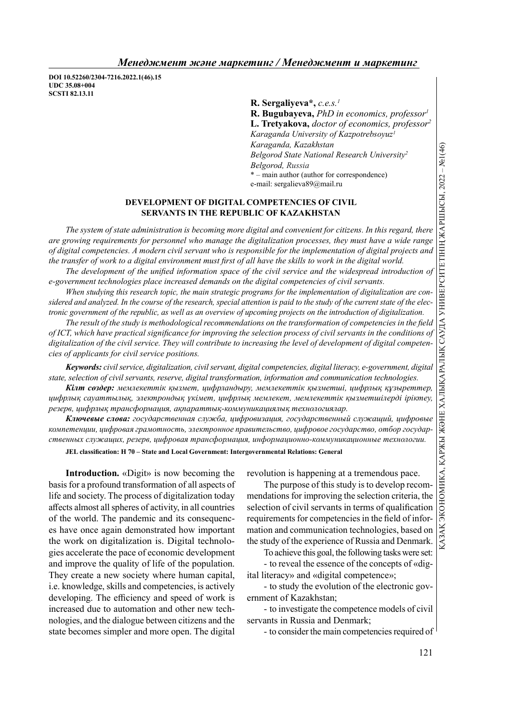DOI 10.52260/2304-7216.2022.1(46).15 UDC 35.08+004 SCSTI 82.13.11

R. Sergaliyeva\*,  $c.e.s.$ <sup>1</sup>  $R.$  Bugubayeva, *PhD* in economics, professor<sup>1</sup> L. Tretyakova, doctor of economics, professor<sup>2</sup> Karaganda University of Kazpotrebsoyuz<sup>1</sup> Karaganda, Kazakhstan Belgorod State National Research University<sup>2</sup> Belgorod, Russia \* – main author (author for correspondence) e-mail: sergalieva89@mail.ru

### DEVELOPMENT OF DIGITAL COMPETENCIES OF CIVIL SERVANTS IN THE REPUBLIC OF KAZAKHSTAN

The system of state administration is becoming more digital and convenient for citizens. In this regard, there are growing requirements for personnel who manage the digitalization processes, they must have a wide range of digital competencies. A modern civil servant who is responsible for the implementation of digital projects and the transfer of work to a digital environment must first of all have the skills to work in the digital world. The development of the unified information space of the civil service and the widespread introduction of Example 1. Example 2. Example 2. Example 2. Example 2. Example 2. Example 2. Example 2. Example 2. Example 2. Example 2. Example 2. Example 2. Example 2. Example 2. Example 2. Example 2. Example 2. Example 2. Example 2. E

e-government technologies place increased demands on the digital competencies of civil servants.

When studying this research topic, the main strategic programs for the implementation of digitalization are considered and analyzed. In the course of the research, special attention is paid to the study of the current state of the elec-

The result of the study is methodological recommendations on the transformation of competencies in the field of ICT, which have practical significance for improving the selection process of civil servants in the conditions of digitalization of the civil service. They will contribute to increasing the level of development of digital competencies of applicants for civil service positions.

Keywords: civil service, digitalization, civil servant, digital competencies, digital literacy, e-government, digital state, selection of civil servants, reserve, digital transformation, information and communication technologies.

Кілт сөздер: мемлекеттік қызмет, цифрландыру, мемлекеттік қызметші, цифрлық құзыреттер, цифрлық сауаттылық, электрондық үкімет, цифрлық мемлекет, мемлекеттік қызметшілерді іріктеу, резерв, цифрлық трансформация, ақпараттық-коммуникациялық технологиялар.

Ключевые слова: государственная служба, цифровизация, государственный служащий, цифровые компетенции, цифровая грамотность, электронное правительство, цифровое государство, отбор государственных служащих, резерв, цифровая трансформация, информационно-коммуникационные технологии.

JEL classification: H 70 – State and Local Government: Intergovernmental Relations: General

Introduction. «Digit» is now becoming the basis for a profound transformation of all aspects of life and society. The process of digitalization today aff ects almost all spheres of activity, in all countries of the world. The pandemic and its consequences have once again demonstrated how important the work on digitalization is. Digital technologies accelerate the pace of economic development and improve the quality of life of the population. They create a new society where human capital, i.e. knowledge, skills and competencies, is actively developing. The efficiency and speed of work is increased due to automation and other new technologies, and the dialogue between citizens and the state becomes simpler and more open. The digital

revolution is happening at a tremendous pace.

The purpose of this study is to develop recommendations for improving the selection criteria, the selection of civil servants in terms of qualification requirements for competencies in the field of information and communication technologies, based on the study of the experience of Russia and Denmark.

To achieve this goal, the following tasks were set: - to reveal the essence of the concepts of «dig-

ital literacy» and «digital competence»; - to study the evolution of the electronic gov-

ernment of Kazakhstan;

- to investigate the competence models of civil servants in Russia and Denmark;

- to consider the main competencies required of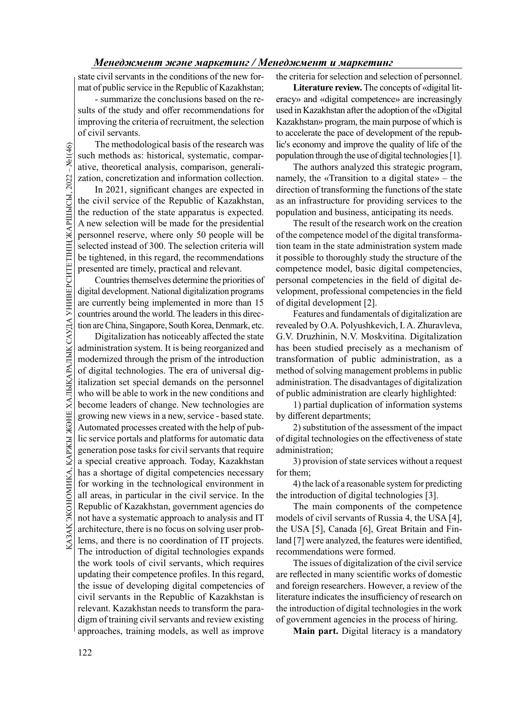state civil servants in the conditions of the new format of public service in the Republic of Kazakhstan;

- summarize the conclusions based on the results of the study and offer recommendations for improving the criteria of recruitment, the selection of civil servants.

The methodological basis of the research was such methods as: historical, systematic, comparative, theoretical analysis, comparison, generalization, concretization and information collection.

In 2021, significant changes are expected in the civil service of the Republic of Kazakhstan, the reduction of the state apparatus is expected. A new selection will be made for the presidential personnel reserve, where only 50 people will be selected instead of 300. The selection criteria will be tightened, in this regard, the recommendations presented are timely, practical and relevant.

Countries themselves determine the priorities of digital development. National digitalization programs are currently being implemented in more than 15 countries around the world. The leaders in this direction are China, Singapore, South Korea, Denmark, etc.

Advoluted processes created with the help of pub-<br>  $\frac{1}{2}$  lic service portals and platforms for automatic data of digital tec<br>  $\frac{1}{2}$  a special creative approach. Today, Kazakhstan 3) provi<br>
has a shortage of digita The methodological<br>
such methods as: histo<br>
ative, theoretical analy<br>
zation, concretization a<br>
In 2021, significar<br>
the reduction of the st<br>
A new selection will be<br>
personnel reserve, whe<br>
selected instead of 300.<br>
be t Digitalization has noticeably affected the state administration system. It is being reorganized and modernized through the prism of the introduction of digital technologies. The era of universal digitalization set special demands on the personnel who will be able to work in the new conditions and become leaders of change. New technologies are growing new views in a new, service - based state. Automated processes created with the help of public service portals and platforms for automatic data generation pose tasks for civil servants that require a special creative approach. Today, Kazakhstan has a shortage of digital competencies necessary for working in the technological environment in all areas, in particular in the civil service. In the Republic of Kazakhstan, government agencies do not have a systematic approach to analysis and IT architecture, there is no focus on solving user problems, and there is no coordination of IT projects. The introduction of digital technologies expands the work tools of civil servants, which requires updating their competence profiles. In this regard, the issue of developing digital competencies of civil servants in the Republic of Kazakhstan is relevant. Kazakhstan needs to transform the paradigm of training civil servants and review existing approaches, training models, as well as improve

the criteria for selection and selection of personnel.

Literature review. The concepts of «digital literacy» and «digital competence» are increasingly used in Kazakhstan after the adoption of the «Digital Kazakhstan» program, the main purpose of which is to accelerate the pace of development of the republic's economy and improve the quality of life of the population through the use of digital technologies [1].

The authors analyzed this strategic program, namely, the «Transition to a digital state» – the direction of transforming the functions of the state as an infrastructure for providing services to the population and business, anticipating its needs.

The result of the research work on the creation of the competence model of the digital transformation team in the state administration system made it possible to thoroughly study the structure of the competence model, basic digital competencies, personal competencies in the field of digital development, professional competencies in the field of digital development [2].

Features and fundamentals of digitalization are revealed by O.A. Polyushkevich, I. A. Zhuravleva, G.V. Druzhinin, N.V. Moskvitina. Digitalization has been studied precisely as a mechanism of transformation of public administration, as a method of solving management problems in public administration. The disadvantages of digitalization of public administration are clearly highlighted:

1) partial duplication of information systems by different departments;

2) substitution of the assessment of the impact of digital technologies on the effectiveness of state administration;

3) provision of state services without a request for them;

4) the lack of a reasonable system for predicting the introduction of digital technologies [3].

The main components of the competence models of civil servants of Russia 4, the USA [4], the USA [5], Canada [6], Great Britain and Finland [7] were analyzed, the features were identified, recommendations were formed.

The issues of digitalization of the civil service are reflected in many scientific works of domestic and foreign researchers. However, a review of the literature indicates the insufficiency of research on the introduction of digital technologies in the work of government agencies in the process of hiring.

Main part. Digital literacy is a mandatory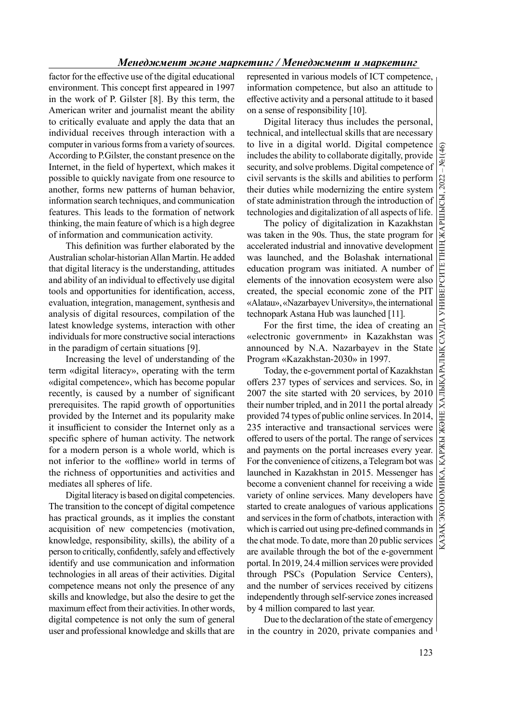factor for the effective use of the digital educational environment. This concept first appeared in 1997 in the work of P. Gilster [8]. By this term, the American writer and journalist meant the ability to critically evaluate and apply the data that an individual receives through interaction with a computer in various forms from a variety of sources. According to P.Gilster, the constant presence on the Internet, in the field of hypertext, which makes it possible to quickly navigate from one resource to another, forms new patterns of human behavior, information search techniques, and communication features. This leads to the formation of network thinking, the main feature of which is a high degree of information and communication activity.

This definition was further elaborated by the Australian scholar-historian Allan Martin. He added that digital literacy is the understanding, attitudes and ability of an individual to effectively use digital tools and opportunities for identification, access, evaluation, integration, management, synthesis and analysis of digital resources, compilation of the latest knowledge systems, interaction with other individuals for more constructive social interactions in the paradigm of certain situations [9].

Increasing the level of understanding of the term «digital literacy», operating with the term «digital competence», which has become popular recently, is caused by a number of significant prerequisites. The rapid growth of opportunities provided by the Internet and its popularity make it insufficient to consider the Internet only as a specific sphere of human activity. The network for a modern person is a whole world, which is not inferior to the «offline» world in terms of the richness of opportunities and activities and mediates all spheres of life.

Digital literacy is based on digital competencies. The transition to the concept of digital competence has practical grounds, as it implies the constant acquisition of new competencies (motivation, knowledge, responsibility, skills), the ability of a person to critically, confidently, safely and effectively identify and use communication and information technologies in all areas of their activities. Digital competence means not only the presence of any skills and knowledge, but also the desire to get the maximum effect from their activities. In other words, digital competence is not only the sum of general user and professional knowledge and skills that are represented in various models of ICT competence, information competence, but also an attitude to effective activity and a personal attitude to it based on a sense of responsibility [10].

Digital literacy thus includes the personal, technical, and intellectual skills that are necessary to live in a digital world. Digital competence  $\frac{1}{2}$ <br>includes the ability to collaborate digitally, provide security, and solve problems. Digital competence of includes the ability to collaborate digitally, provide security, and solve problems. Digital competence of civil servants is the skills and abilities to perform their duties while modernizing the entire system of state administration through the introduction of

The policy of digitalization in Kazakhstan was taken in the 90s. Thus, the state program for accelerated industrial and innovative development was launched, and the Bolashak international education program was initiated. A number of elements of the innovation ecosystem were also created, the special economic zone of the PIT «Alatau», «Nazarbayev University», the international technopark Astana Hub was launched [11].

For the first time, the idea of creating an «electronic government» in Kazakhstan was announced by N.A. Nazarbayev in the State Program «Kazakhstan-2030» in 1997.

civil servants is the skills and abilities to perform<br>their duties while modernizing the entire system<br>for their duties while modernizing the entire system<br>dechnologies and digitalization of all aspects of life.<br>The polic Today, the e-government portal of Kazakhstan offers 237 types of services and services. So, in 2007 the site started with 20 services, by 2010 their number tripled, and in 2011 the portal already provided 74 types of public online services. In 2014, 235 interactive and transactional services were offered to users of the portal. The range of services and payments on the portal increases every year. For the convenience of citizens, a Telegram bot was launched in Kazakhstan in 2015. Messenger has become a convenient channel for receiving a wide variety of online services. Many developers have started to create analogues of various applications and services in the form of chatbots, interaction with which is carried out using pre-defined commands in the chat mode. To date, more than 20 public services are available through the bot of the e-government portal. In 2019, 24.4 million services were provided through PSCs (Population Service Centers), and the number of services received by citizens independently through self-service zones increased by 4 million compared to last year.

Due to the declaration of the state of emergency in the country in 2020, private companies and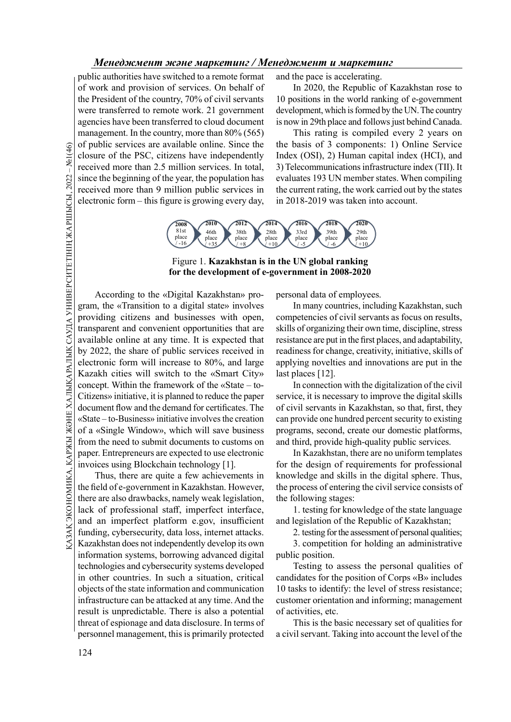public authorities have switched to a remote format of work and provision of services. On behalf of the President of the country, 70% of civil servants were transferred to remote work. 21 government agencies have been transferred to cloud document management. In the country, more than 80% (565) of public services are available online. Since the closure of the PSC, citizens have independently received more than 2.5 million services. In total, since the beginning of the year, the population has received more than 9 million public services in electronic form – this figure is growing every day,

and the pace is accelerating.

In 2020, the Republic of Kazakhstan rose to 10 positions in the world ranking of e-government development, which is formed by the UN. The country is now in 29th place and follows just behind Canada.

This rating is compiled every 2 years on the basis of 3 components: 1) Online Service Index (OSI), 2) Human capital index (HCI), and 3) Telecommunications infrastructure index (TII). It evaluates 193 UN member states. When compiling the current rating, the work carried out by the states in 2018-2019 was taken into account.



## Figure 1. Kazakhstan is in the UN global ranking for the development of e-government in 2008-2020

General contraction of the PSC, citends are a closure of the PSC, cite<br>of received more than 2.5<br>since the beginning of the received more than 9<br>dectronic form – this fit<br>dectronic form – this fit<br>decording to the  $\frac{1}{2$ According to the «Digital Kazakhstan» program, the «Transition to a digital state» involves providing citizens and businesses with open, transparent and convenient opportunities that are available online at any time. It is expected that by 2022, the share of public services received in electronic form will increase to 80%, and large Kazakh cities will switch to the «Smart City» concept. Within the framework of the «State – to-Citizens» initiative, it is planned to reduce the paper document flow and the demand for certificates. The «State – to-Business» initiative involves the creation of a «Single Window», which will save business from the need to submit documents to customs on paper. Entrepreneurs are expected to use electronic invoices using Blockchain technology [1].

As a of a «Single Window», which will save business programs, see from the need to submit documents to customs on and third, prepare. Entrepreneurs are expected to use electronic In Kaza invoices using Blockchain technolo Thus, there are quite a few achievements in the field of e-government in Kazakhstan. However, there are also drawbacks, namely weak legislation, lack of professional staff, imperfect interface, and an imperfect platform e.gov, insufficient funding, cybersecurity, data loss, internet attacks. Kazakhstan does not independently develop its own information systems, borrowing advanced digital technologies and cybersecurity systems developed in other countries. In such a situation, critical objects of the state information and communication infrastructure can be attacked at any time. And the result is unpredictable. There is also a potential threat of espionage and data disclosure. In terms of personnel management, this is primarily protected

personal data of employees.

In many countries, including Kazakhstan, such competencies of civil servants as focus on results, skills of organizing their own time, discipline, stress resistance are put in the first places, and adaptability, readiness for change, creativity, initiative, skills of applying novelties and innovations are put in the last places [12].

In connection with the digitalization of the civil service, it is necessary to improve the digital skills of civil servants in Kazakhstan, so that, first, they can provide one hundred percent security to existing programs, second, create our domestic platforms, and third, provide high-quality public services.

In Kazakhstan, there are no uniform templates for the design of requirements for professional knowledge and skills in the digital sphere. Thus, the process of entering the civil service consists of the following stages:

1. testing for knowledge of the state language and legislation of the Republic of Kazakhstan;

2. testing for the assessment of personal qualities;

3. competition for holding an administrative public position.

Testing to assess the personal qualities of candidates for the position of Corps «B» includes 10 tasks to identify: the level of stress resistance; customer orientation and informing; management of activities, etc.

This is the basic necessary set of qualities for a civil servant. Taking into account the level of the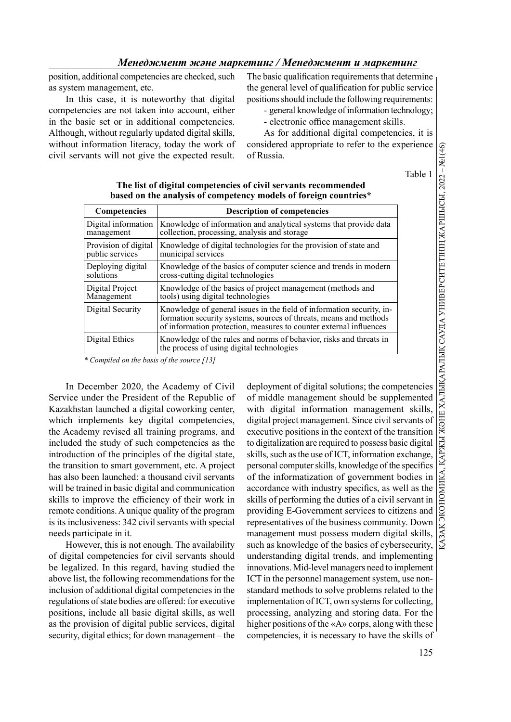position, additional competencies are checked, such as system management, etc.

In this case, it is noteworthy that digital competencies are not taken into account, either in the basic set or in additional competencies. Although, without regularly updated digital skills, without information literacy, today the work of civil servants will not give the expected result. The basic qualification requirements that determine the general level of qualification for public service positions should include the following requirements:

- general knowledge of information technology;

- electronic office management skills.

As for additional digital competencies, it is considered appropriate to refer to the experience of Russia.

| яnі |
|-----|
|     |

| <b>Competencies</b>                     | <b>Description of competencies</b>                                                                                                                                                                               |  |
|-----------------------------------------|------------------------------------------------------------------------------------------------------------------------------------------------------------------------------------------------------------------|--|
| Digital information<br>management       | Knowledge of information and analytical systems that provide data<br>collection, processing, analysis and storage                                                                                                |  |
| Provision of digital<br>public services | Knowledge of digital technologies for the provision of state and<br>municipal services                                                                                                                           |  |
| Deploying digital<br>solutions          | Knowledge of the basics of computer science and trends in modern<br>cross-cutting digital technologies                                                                                                           |  |
| Digital Project<br>Management           | Knowledge of the basics of project management (methods and<br>tools) using digital technologies                                                                                                                  |  |
| Digital Security                        | Knowledge of general issues in the field of information security, in-<br>formation security systems, sources of threats, means and methods<br>of information protection, measures to counter external influences |  |
| Digital Ethics                          | Knowledge of the rules and norms of behavior, risks and threats in<br>the process of using digital technologies                                                                                                  |  |
|                                         |                                                                                                                                                                                                                  |  |

# The list of digital competencies of civil servants recommended based on the analysis of competency models of foreign countries\*

\* Compiled on the basis of the source [13]

In December 2020, the Academy of Civil Service under the President of the Republic of Kazakhstan launched a digital coworking center, which implements key digital competencies, the Academy revised all training programs, and included the study of such competencies as the introduction of the principles of the digital state, the transition to smart government, etc. A project has also been launched: a thousand civil servants will be trained in basic digital and communication skills to improve the efficiency of their work in remote conditions. A unique quality of the program is its inclusiveness: 342 civil servants with special needs participate in it.

However, this is not enough. The availability of digital competencies for civil servants should be legalized. In this regard, having studied the above list, the following recommendations for the inclusion of additional digital competencies in the regulations of state bodies are offered: for executive positions, include all basic digital skills, as well as the provision of digital public services, digital security, digital ethics; for down management – the

deployment of digital solutions; the competencies of middle management should be supplemented considered appropriate to refer to the experience of Russia.<br>
Table 1 (structure of Russia.<br>
Table 1 (structure of **models** of foreign countries\*<br>
iption of competencies<br>
in and analytical systems that provide data<br>
allysi digital project management. Since civil servants of executive positions in the context of the transition to digitalization are required to possess basic digital skills, such as the use of ICT, information exchange, personal computer skills, knowledge of the specifics of the informatization of government bodies in accordance with industry specifics, as well as the skills of performing the duties of a civil servant in providing E-Government services to citizens and representatives of the business community. Down management must possess modern digital skills, such as knowledge of the basics of cybersecurity, understanding digital trends, and implementing innovations. Mid-level managers need to implement ICT in the personnel management system, use nonstandard methods to solve problems related to the implementation of ICT, own systems for collecting, processing, analyzing and storing data. For the higher positions of the «A» corps, along with these competencies, it is necessary to have the skills of

125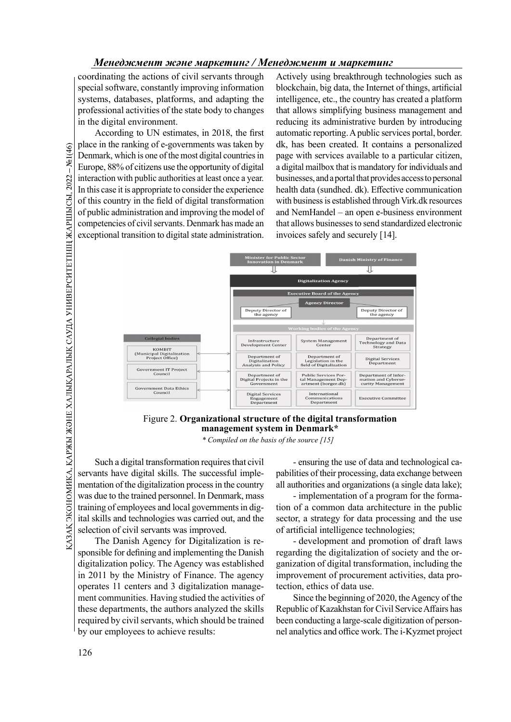coordinating the actions of civil servants through special software, constantly improving information systems, databases, platforms, and adapting the professional activities of the state body to changes in the digital environment.

According to UN estimates, in 2018, the first place in the ranking of e-governments was taken by Denmark, which is one of the most digital countries in Europe, 88% of citizens use the opportunity of digital interaction with public authorities at least once a year. In this case it is appropriate to consider the experience of this country in the field of digital transformation of public administration and improving the model of competencies of civil servants. Denmark has made an exceptional transition to digital state administration.

Actively using breakthrough technologies such as blockchain, big data, the Internet of things, artificial intelligence, etc., the country has created a platform that allows simplifying business management and reducing its administrative burden by introducing automatic reporting. A public services portal, border. dk, has been created. It contains a personalized page with services available to a particular citizen, a digital mailbox that is mandatory for individuals and businesses, and a portal that provides access to personal health data (sundhed. dk). Effective communication with business is established through Virk.dk resources and NemHandel – an open e-business environment that allows businesses to send standardized electronic invoices safely and securely [14].





\* Compiled on the basis of the source [15]

Such a digital transformation requires that civil servants have digital skills. The successful implementation of the digitalization process in the country was due to the trained personnel. In Denmark, mass training of employees and local governments in digital skills and technologies was carried out, and the selection of civil servants was improved.

The Danish Agency for Digitalization is responsible for defining and implementing the Danish digitalization policy. The Agency was established in 2011 by the Ministry of Finance. The agency operates 11 centers and 3 digitalization management communities. Having studied the activities of these departments, the authors analyzed the skills required by civil servants, which should be trained by our employees to achieve results:

pabilities of their processing, data exchange between all authorities and organizations (a single data lake);

- implementation of a program for the formation of a common data architecture in the public sector, a strategy for data processing and the use of artificial intelligence technologies;

- development and promotion of draft laws regarding the digitalization of society and the organization of digital transformation, including the improvement of procurement activities, data protection, ethics of data use.

Since the beginning of 2020, the Agency of the Republic of Kazakhstan for Civil Service Affairs has been conducting a large-scale digitization of personnel analytics and office work. The i-Kyzmet project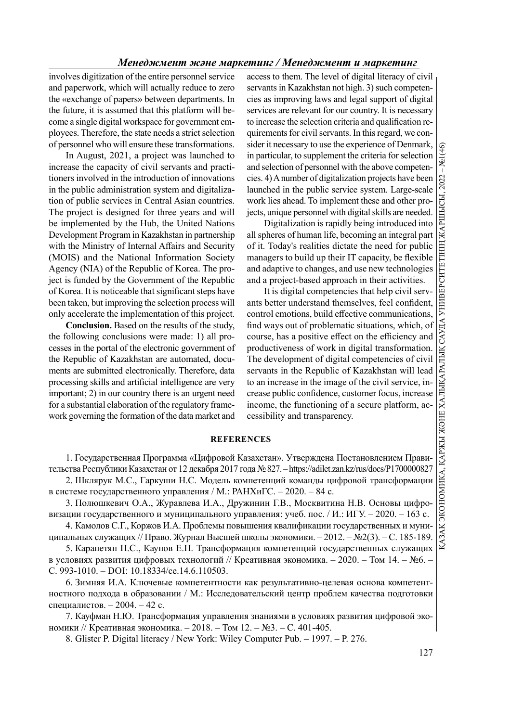# ҚАЗАҚ ЭКОНОМИКА, ҚАРЖЫ Ж ӘНЕ ХАЛЫҚАРАЛЫҚ САУДА УНИВЕРСИТЕТІНІҢ ЖАРШЫСЫ, 2022 – №1(46)<br>|<br>|-

# Менеджмент және маркетинг / Менеджмент и маркетинг

involves digitization of the entire personnel service and paperwork, which will actually reduce to zero the «exchange of papers» between departments. In the future, it is assumed that this platform will become a single digital workspace for government employees. Therefore, the state needs a strict selection of personnel who will ensure these transformations.

In August, 2021, a project was launched to increase the capacity of civil servants and practitioners involved in the introduction of innovations in the public administration system and digitalization of public services in Central Asian countries. The project is designed for three years and will be implemented by the Hub, the United Nations Development Program in Kazakhstan in partnership with the Ministry of Internal Affairs and Security (MOIS) and the National Information Society Agency (NIA) of the Republic of Korea. The project is funded by the Government of the Republic of Korea. It is noticeable that significant steps have been taken, but improving the selection process will only accelerate the implementation of this project.

Conclusion. Based on the results of the study, the following conclusions were made: 1) all processes in the portal of the electronic government of the Republic of Kazakhstan are automated, documents are submitted electronically. Therefore, data processing skills and artificial intelligence are very important; 2) in our country there is an urgent need for a substantial elaboration of the regulatory framework governing the formation of the data market and

access to them. The level of digital literacy of civil servants in Kazakhstan not high. 3) such competencies as improving laws and legal support of digital services are relevant for our country. It is necessary to increase the selection criteria and qualification requirements for civil servants. In this regard, we consider it necessary to use the experience of Denmark, in particular, to supplement the criteria for selection and selection of personnel with the above competenlaunched in the public service system. Large-scale work lies ahead. To implement these and other projects, unique personnel with digital skills are needed.

Digitalization is rapidly being introduced into all spheres of human life, becoming an integral part of it. Today's realities dictate the need for public managers to build up their IT capacity, be flexible and adaptive to changes, and use new technologies and a project-based approach in their activities.

sider it necessary to use the experience of Denmark,  $\frac{1}{3}$ <br>
in particular, to supplement the criteral for selection<br>
and selection of personnel with the above competencies.<br>
4) A number of digitalization projects have It is digital competencies that help civil servants better understand themselves, feel confident, control emotions, build effective communications, find ways out of problematic situations, which, of course, has a positive effect on the efficiency and productiveness of work in digital transformation. The development of digital competencies of civil servants in the Republic of Kazakhstan will lead to an increase in the image of the civil service, increase public confidence, customer focus, increase income, the functioning of a secure platform, accessibility and transparency.

### **REFERENCES**

1. Государственная Программа «Цифровой Казахстан». Утверждена Постановлением Правительства Республики Казахстан от 12 декабря 2017 года № 827. – https://adilet.zan.kz/rus/docs/P1700000827 2. Шклярук М.С., Гаркуши Н.С. Модель компетенций команды цифровой трансформации

в системе государственного управления / М.: РАНХиГС. – 2020. – 84 с.

3. Полюшкевич О.А., Журавлева И.А., Дружинин Г.В., Москвитина Н.В. Основы цифровизации государственного и муниципального управления: учеб. пос. / И.: ИГУ. - 2020. - 163 с.

4. Камолов С.Г., Коржов И.А. Проблемы повышения квалификации государственных и муниципальных служащих // Право. Журнал Высшей школы экономики. – 2012. – №2(3). – C. 185-189.

5. Карапетян Н.С., Каунов Е.Н. Трансформация компетенций государственных служащих в условиях развития цифровых технологий // Креативная экономика. – 2020. – Том 14. – №6. – С. 993-1010. – DOI: 10.18334/ce.14.6.110503.

6. Зимняя И.А. Ключевые компетентности как результативно-целевая основа компетентностного подхода в образовании / М.: Исследовательский центр проблем качества подготовки специалистов. – 2004. – 42 с.

7. Кауфман Н.Ю. Трансформация управления знаниями в условиях развития цифровой экономики // Креативная экономика. – 2018. – Том 12. – №3. – С. 401-405.

8. Glister P. Digital literacy / New York: Wiley Computer Pub. – 1997. – P. 276.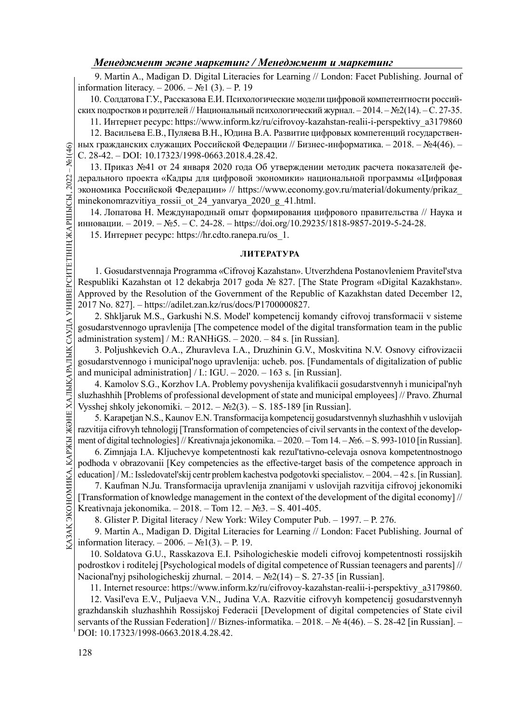9. Martin A., Madigan D. Digital Literacies for Learning // London: Facet Publishing. Journal of information literacy. – 2006. – №1 (3). – P. 19

10. Солдатова Г.У., Рассказова Е.И. Психологические модели цифровой компетентности российских подростков и родителей // Национальный психологический журнал. – 2014. – №2(14). – С. 27-35.

11. Интернет ресурс: https://www.inform.kz/ru/cifrovoy-kazahstan-realii-i-perspektivy\_a3179860

12. Васильева Е.В., Пуляева В.Н., Юдина В.А. Развитие цифровых компетенций государственных гражданских служащих Российской Федерации // Бизнес-информатика. – 2018. – №4(46). – С. 28-42. – DOI: 10.17323/1998-0663.2018.4.28.42.

<u>G</u> НЫХ ГРАЖДАНСКИХ СЛУ:<br>C. 28-42. – DOI: 10.17<br>13. Приказ №41 от<br>предльного проекта «<br>экономика Российска<br>minekonomrazvitiya\_r<br>14. Лопатова Н. М<br>11. Gosudarstvenna<br>15. Интернет ресур<br>15. Интернет ресур<br>Respubliki Kazahs 13. Приказ №41 от 24 января 2020 года Об утверждении методик расчета показателей федерального проекта «Кадры для цифровой экономики» национальной программы «Цифровая экономика Российской Федерации» // https://www.economy.gov.ru/material/dokumenty/prikaz\_ minekonomrazvitiya rossii ot 24 yanvarya 2020 g 41.html.

14. Лопатова Н. Международный опыт формирования цифрового правительства // Наука и инновации. – 2019. – №5. – С. 24-28. – https://doi.org/10.29235/1818-9857-2019-5-24-28. 15. Интернет ресурс: https://hr.cdto.ranepa.ru/os\_1.

## ЛИТЕРАТУРА

1. Gosudarstvennaja Programma «Cifrovoj Kazahstan». Utverzhdena Postanovleniem Pravitel'stva Respubliki Kazahstan ot 12 dekabrja 2017 goda № 827. [The State Program «Digital Kazakhstan». Approved by the Resolution of the Government of the Republic of Kazakhstan dated December 12, 2017 No. 827]. – https://adilet.zan.kz/rus/docs/P1700000827.

2. Shkljaruk M.S., Garkushi N.S. Model' kompetencij komandy cifrovoj transformacii v sisteme gosudarstvennogo upravlenija [The competence model of the digital transformation team in the public administration system] / M.:  $RANHiGS. - 2020. - 84$  s. [in Russian].

3. Poljushkevich O.A., Zhuravleva I.A., Druzhinin G.V., Moskvitina N.V. Osnovy cifrovizacii gosudarstvennogo i municipal'nogo upravlenija: ucheb. pos. [Fundamentals of digitalization of public and municipal administration] / I.: IGU.  $-2020$ .  $-163$  s. [in Russian].

4. Kamolov S.G., Korzhov I.A. Problemy povyshenija kvalifikacii gosudarstvennyh i municipal'nyh sluzhashhih [Problems of professional development of state and municipal employees] // Pravo. Zhurnal Vysshej shkoly jekonomiki. – 2012. – №2(3). – S. 185-189 [in Russian].

5. Karapetjan N.S., Kaunov E.N. Transformacija kompetencij gosudarstvennyh sluzhashhih v uslovijah razvitija cifrovyh tehnologij [Transformation of competencies of civil servants in the context of the development of digital technologies] // Kreativnaja jekonomika. – 2020. – Tom 14. – №6. – S. 993-1010 [in Russian].

Example through tehnology [Transformation of competencies of civil<br>
ment of digital technologies] // Kreativnaja jekonomika. – 2020. – Tor<br>
6. Zimnjaja I.A. Kljuchevye kompetentnosti kak rezul'tativno<br>
podhoda v obrazovan 6. Zimnjaja I.A. Kljuchevye kompetentnosti kak rezul'tativno-celevaja osnova kompetentnostnogo podhoda v obrazovanii [Key competencies as the effective-target basis of the competence approach in education] / M.: Issledovatel'skij centr problem kachestva podgotovki specialistov. – 2004. – 42 s. [in Russian].

7. Kaufman N.Ju. Transformacija upravlenija znanijami v uslovijah razvitija cifrovoj jekonomiki [Transformation of knowledge management in the context of the development of the digital economy] // Kreativnaja jekonomika. – 2018. – Tom 12. – №3. – S. 401-405.

8. Glister P. Digital literacy / New York: Wiley Computer Pub. – 1997. – P. 276.

9. Martin A., Madigan D. Digital Literacies for Learning // London: Facet Publishing. Journal of information literacy. –  $2006. - N<sub>2</sub>1(3)$ . – P. 19.

10. Soldatova G.U., Rasskazova E.I. Psihologicheskie modeli cifrovoj kompetentnosti rossijskih podrostkov i roditelej [Psychological models of digital competence of Russian teenagers and parents] // Nacional'nyj psihologicheskij zhurnal. – 2014. – №2(14) – S. 27-35 [in Russian].

11. Internet resource: https://www.inform.kz/ru/cifrovoy-kazahstan-realii-i-perspektivy\_a3179860.

12. Vasil'eva E.V., Puljaeva V.N., Judina V.A. Razvitie cifrovyh kompetencij gosudarstvennyh grazhdanskih sluzhashhih Rossijskoj Federacii [Development of digital competencies of State civil servants of the Russian Federation] // Biznes-informatika. – 2018. – № 4(46). – S. 28-42 [in Russian]. – DOI: 10.17323/1998-0663.2018.4.28.42.